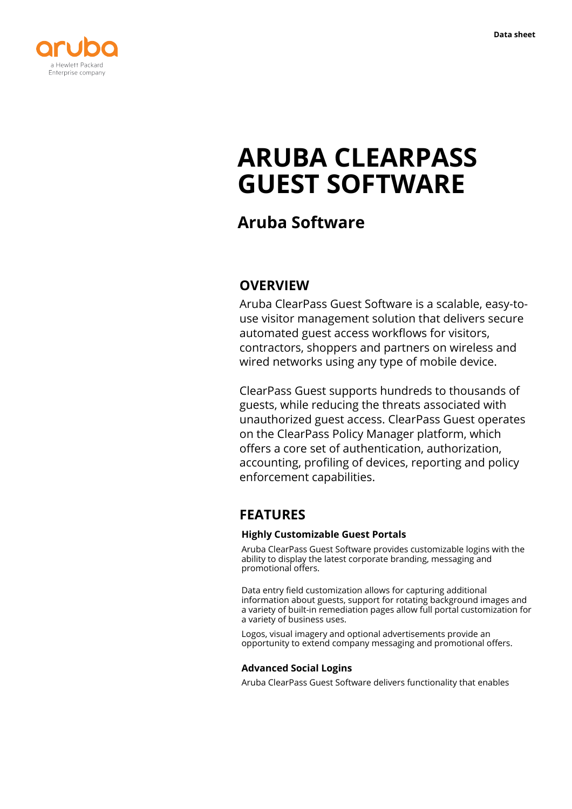

# **ARUBA CLEARPASS GUEST SOFTWARE**

# **Aruba Software**

# **OVERVIEW**

Aruba ClearPass Guest Software is a scalable, easy-touse visitor management solution that delivers secure automated guest access workflows for visitors, contractors, shoppers and partners on wireless and wired networks using any type of mobile device.

ClearPass Guest supports hundreds to thousands of guests, while reducing the threats associated with unauthorized guest access. ClearPass Guest operates on the ClearPass Policy Manager platform, which offers a core set of authentication, authorization, accounting, profiling of devices, reporting and policy enforcement capabilities.

# **FEATURES**

#### **Highly Customizable Guest Portals**

Aruba ClearPass Guest Software provides customizable logins with the ability to display the latest corporate branding, messaging and promotional offers.

Data entry field customization allows for capturing additional information about guests, support for rotating background images and a variety of built-in remediation pages allow full portal customization for a variety of business uses.

Logos, visual imagery and optional advertisements provide an opportunity to extend company messaging and promotional offers.

### **Advanced Social Logins**

Aruba ClearPass Guest Software delivers functionality that enables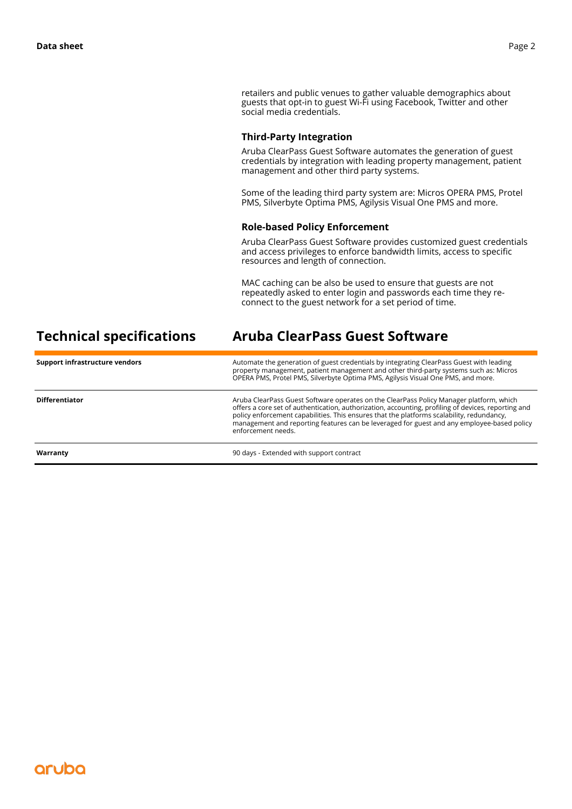retailers and public venues to gather valuable demographics about guests that opt-in to guest Wi-Fi using Facebook, Twitter and other social media credentials.

#### **Third-Party Integration**

Aruba ClearPass Guest Software automates the generation of guest credentials by integration with leading property management, patient management and other third party systems.

Some of the leading third party system are: Micros OPERA PMS, Protel PMS, Silverbyte Optima PMS, Agilysis Visual One PMS and more.

#### **Role-based Policy Enforcement**

Aruba ClearPass Guest Software provides customized guest credentials and access privileges to enforce bandwidth limits, access to specific resources and length of connection.

MAC caching can be also be used to ensure that guests are not repeatedly asked to enter login and passwords each time they reconnect to the guest network for a set period of time.

| <b>Technical specifications</b> | Aruba ClearPass Guest Software                                                                                                                                                                                                                                                                                                                                                                                  |
|---------------------------------|-----------------------------------------------------------------------------------------------------------------------------------------------------------------------------------------------------------------------------------------------------------------------------------------------------------------------------------------------------------------------------------------------------------------|
| Support infrastructure vendors  | Automate the generation of guest credentials by integrating ClearPass Guest with leading<br>property management, patient management and other third-party systems such as: Micros<br>OPERA PMS, Protel PMS, Silverbyte Optima PMS, Agilysis Visual One PMS, and more.                                                                                                                                           |
| <b>Differentiator</b>           | Aruba ClearPass Guest Software operates on the ClearPass Policy Manager platform, which<br>offers a core set of authentication, authorization, accounting, profiling of devices, reporting and<br>policy enforcement capabilities. This ensures that the platforms scalability, redundancy,<br>management and reporting features can be leveraged for guest and any employee-based policy<br>enforcement needs. |
| Warranty                        | 90 days - Extended with support contract                                                                                                                                                                                                                                                                                                                                                                        |

## aruba